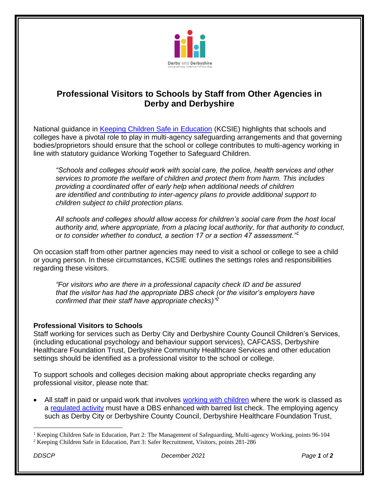

## **Professional Visitors to Schools by Staff from Other Agencies in Derby and Derbyshire**

National guidance in [Keeping Children Safe in Education](https://www.gov.uk/government/publications/keeping-children-safe-in-education--2) (KCSIE) highlights that schools and colleges have a pivotal role to play in multi-agency safeguarding arrangements and that governing bodies/proprietors should ensure that the school or college contributes to multi-agency working in line with statutory guidance Working Together to Safeguard Children.

*"Schools and colleges should work with social care, the police, health services and other services to promote the welfare of children and protect them from harm. This includes providing a coordinated offer of early help when additional needs of children are identified and contributing to inter-agency plans to provide additional support to children subject to child protection plans.*

*All schools and colleges should allow access for children's social care from the host local authority and, where appropriate, from a placing local authority, for that authority to conduct, or to consider whether to conduct, a section 17 or a section 47 assessment."<sup>1</sup>*

On occasion staff from other partner agencies may need to visit a school or college to see a child or young person. In these circumstances, KCSIE outlines the settings roles and responsibilities regarding these visitors.

*"For visitors who are there in a professional capacity check ID and be assured that the visitor has had the appropriate DBS check (or the visitor's employers have confirmed that their staff have appropriate checks)" 2*

## **Professional Visitors to Schools**

Staff working for services such as Derby City and Derbyshire County Council Children's Services, (including educational psychology and behaviour support services), CAFCASS, Derbyshire Healthcare Foundation Trust, Derbyshire Community Healthcare Services and other education settings should be identified as a professional visitor to the school or college.

To support schools and colleges decision making about appropriate checks regarding any professional visitor, please note that:

All staff in paid or unpaid work that involves [working with children](https://www.gov.uk/government/publications/dbs-workforce-guidance) where the work is classed as a [regulated activity](https://www.gov.uk/government/publications/dbs-guidance-leaflets) must have a DBS enhanced with barred list check. The employing agency such as Derby City or Derbyshire County Council, Derbyshire Healthcare Foundation Trust,

<sup>&</sup>lt;sup>1</sup> Keeping Children Safe in Education, Part 2: The Management of Safeguarding, Multi-agency Working, points 96-104

<sup>2</sup> Keeping Children Safe in Education, Part 3: Safer Recruitment, Visitors, points 281-286